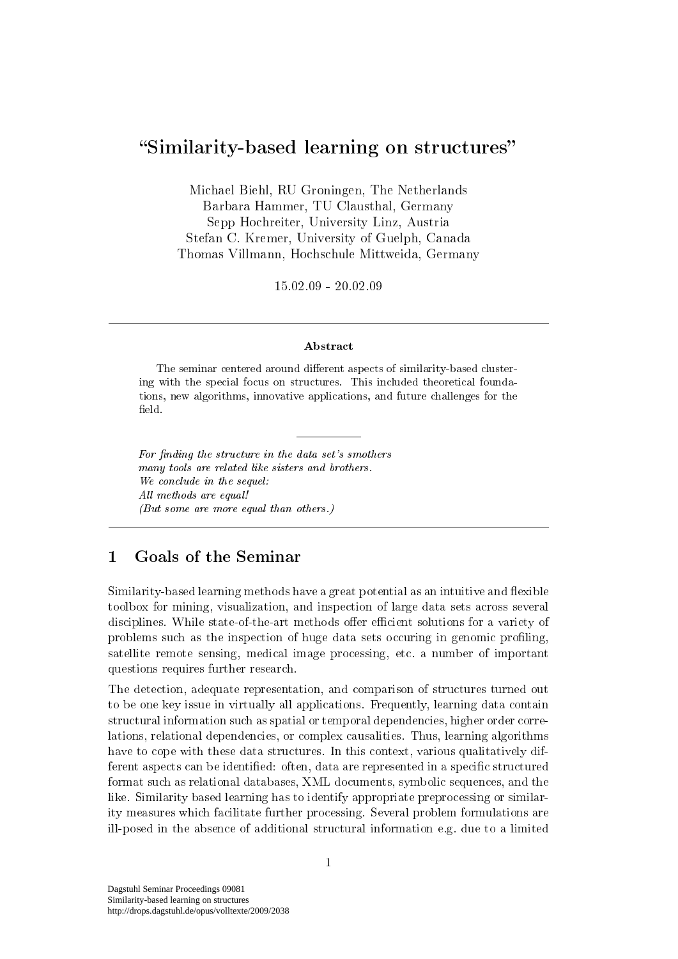# Similarity-based learning on structures

Michael Biehl, RU Groningen, The Netherlands Barbara Hammer, TU Clausthal, Germany Sepp Hochreiter, University Linz, Austria Stefan C. Kremer, University of Guelph, Canada Thomas Villmann, Hochschule Mittweida, Germany

15.02.09 - 20.02.09

#### Abstract

The seminar centered around different aspects of similarity-based clustering with the special focus on structures. This included theoretical foundations, new algorithms, innovative applications, and future challenges for the field.

For finding the structure in the data set's smothers many tools are related like sisters and brothers. We conclude in the sequel: All methods are equal! (But some are more equal than others.)

## 1 Goals of the Seminar

Similarity-based learning methods have a great potential as an intuitive and flexible toolbox for mining, visualization, and inspection of large data sets across several disciplines. While state-of-the-art methods offer efficient solutions for a variety of problems such as the inspection of huge data sets occuring in genomic proling, satellite remote sensing, medical image processing, etc. a number of important questions requires further research.

The detection, adequate representation, and comparison of structures turned out to be one key issue in virtually all applications. Frequently, learning data contain structural information such as spatial or temporal dependencies, higher order correlations, relational dependencies, or complex causalities. Thus, learning algorithms have to cope with these data structures. In this context, various qualitatively different aspects can be identified: often, data are represented in a specific structured format such as relational databases, XML documents, symbolic sequences, and the like. Similarity based learning has to identify appropriate preprocessing or similarity measures which facilitate further processing. Several problem formulations are ill-posed in the absence of additional structural information e.g. due to a limited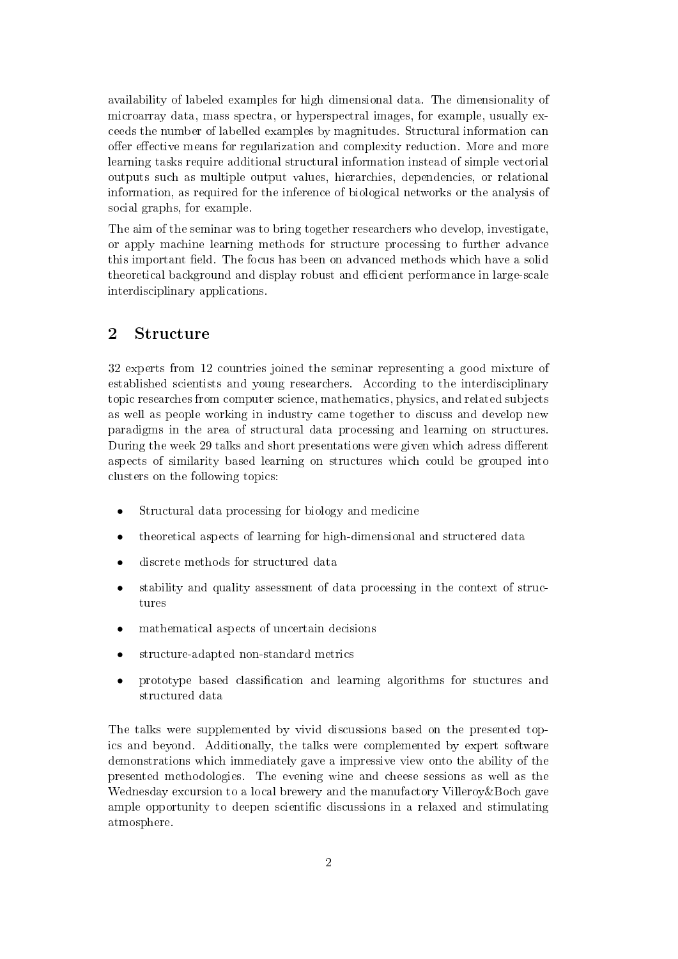availability of labeled examples for high dimensional data. The dimensionality of microarray data, mass spectra, or hyperspectral images, for example, usually exceeds the number of labelled examples by magnitudes. Structural information can offer effective means for regularization and complexity reduction. More and more learning tasks require additional structural information instead of simple vectorial outputs such as multiple output values, hierarchies, dependencies, or relational information, as required for the inference of biological networks or the analysis of social graphs, for example.

The aim of the seminar was to bring together researchers who develop, investigate, or apply machine learning methods for structure processing to further advance this important field. The focus has been on advanced methods which have a solid theoretical background and display robust and efficient performance in large-scale interdisciplinary applications.

### 2 Structure

32 experts from 12 countries joined the seminar representing a good mixture of established scientists and young researchers. According to the interdisciplinary topic researches from computer science, mathematics, physics, and related subjects as well as people working in industry came together to discuss and develop new paradigms in the area of structural data processing and learning on structures. During the week 29 talks and short presentations were given which adress different aspects of similarity based learning on structures which could be grouped into clusters on the following topics:

- Structural data processing for biology and medicine
- theoretical aspects of learning for high-dimensional and structered data
- discrete methods for structured data
- stability and quality assessment of data processing in the context of structures
- mathematical aspects of uncertain decisions
- structure-adapted non-standard metrics
- prototype based classification and learning algorithms for stuctures and structured data

The talks were supplemented by vivid discussions based on the presented topics and beyond. Additionally, the talks were complemented by expert software demonstrations which immediately gave a impressive view onto the ability of the presented methodologies. The evening wine and cheese sessions as well as the Wednesday excursion to a local brewery and the manufactory Villeroy & Boch gave ample opportunity to deepen scientific discussions in a relaxed and stimulating atmosphere.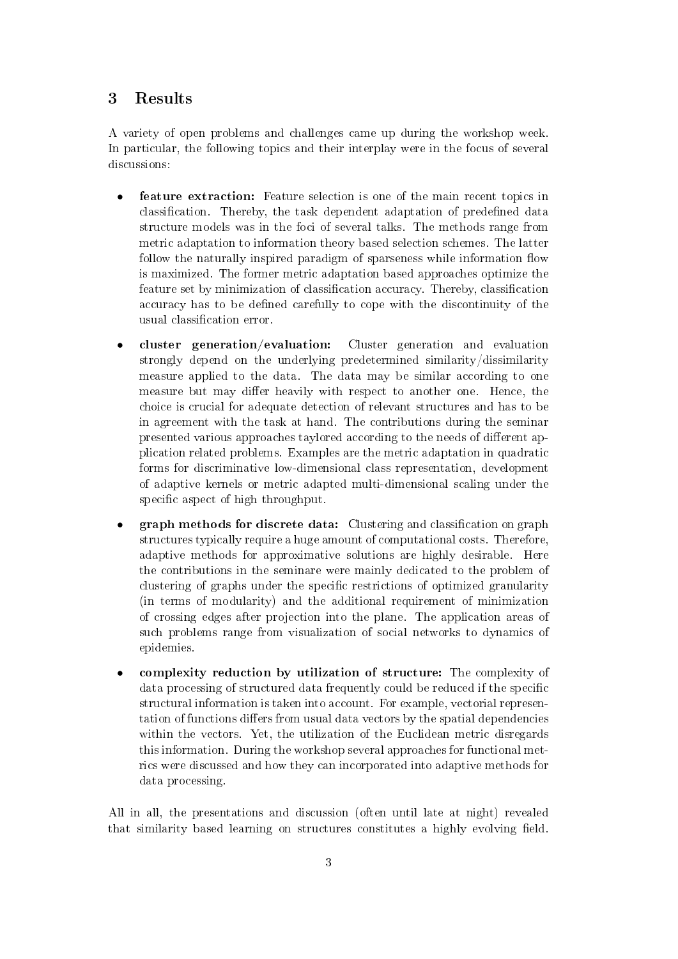### 3 Results

A variety of open problems and challenges came up during the workshop week. In particular, the following topics and their interplay were in the focus of several discussions:

- feature extraction: Feature selection is one of the main recent topics in classification. Thereby, the task dependent adaptation of predefined data structure models was in the foci of several talks. The methods range from metric adaptation to information theory based selection schemes. The latter follow the naturally inspired paradigm of sparseness while information flow is maximized. The former metric adaptation based approaches optimize the feature set by minimization of classification accuracy. Thereby, classification accuracy has to be defined carefully to cope with the discontinuity of the usual classification error.
- cluster generation/evaluation: Cluster generation and evaluation strongly depend on the underlying predetermined similarity/dissimilarity measure applied to the data. The data may be similar according to one measure but may differ heavily with respect to another one. Hence, the choice is crucial for adequate detection of relevant structures and has to be in agreement with the task at hand. The contributions during the seminar presented various approaches taylored according to the needs of different application related problems. Examples are the metric adaptation in quadratic forms for discriminative low-dimensional class representation, development of adaptive kernels or metric adapted multi-dimensional scaling under the specific aspect of high throughput.
- graph methods for discrete data: Clustering and classification on graph structures typically require a huge amount of computational costs. Therefore, adaptive methods for approximative solutions are highly desirable. Here the contributions in the seminare were mainly dedicated to the problem of clustering of graphs under the specific restrictions of optimized granularity (in terms of modularity) and the additional requirement of minimization of crossing edges after projection into the plane. The application areas of such problems range from visualization of social networks to dynamics of epidemies.
- complexity reduction by utilization of structure: The complexity of data processing of structured data frequently could be reduced if the specific structural information is taken into account. For example, vectorial representation of functions differs from usual data vectors by the spatial dependencies within the vectors. Yet, the utilization of the Euclidean metric disregards this information. During the workshop several approaches for functional metrics were discussed and how they can incorporated into adaptive methods for data processing.

All in all, the presentations and discussion (often until late at night) revealed that similarity based learning on structures constitutes a highly evolving field.